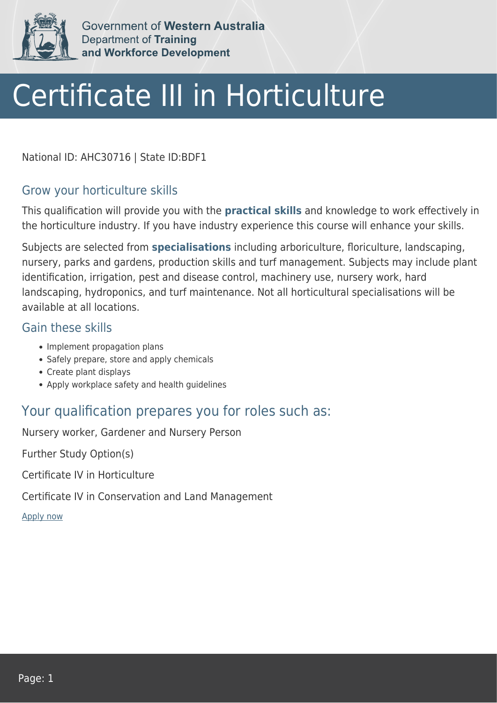

Government of Western Australia Department of Training and Workforce Development

# Certificate III in Horticulture

National ID: AHC30716 | State ID:BDF1

#### Grow your horticulture skills

This qualification will provide you with the **practical skills** and knowledge to work effectively in the horticulture industry. If you have industry experience this course will enhance your skills.

Subjects are selected from **specialisations** including arboriculture, floriculture, landscaping, nursery, parks and gardens, production skills and turf management. Subjects may include plant identification, irrigation, pest and disease control, machinery use, nursery work, hard landscaping, hydroponics, and turf maintenance. Not all horticultural specialisations will be available at all locations.

#### Gain these skills

- Implement propagation plans
- Safely prepare, store and apply chemicals
- Create plant displays
- Apply workplace safety and health quidelines

### Your qualification prepares you for roles such as:

Nursery worker, Gardener and Nursery Person

Further Study Option(s)

Certificate IV in Horticulture

Certificate IV in Conservation and Land Management

[Apply now](https://tasonline.tafe.wa.edu.au/Default.aspx)